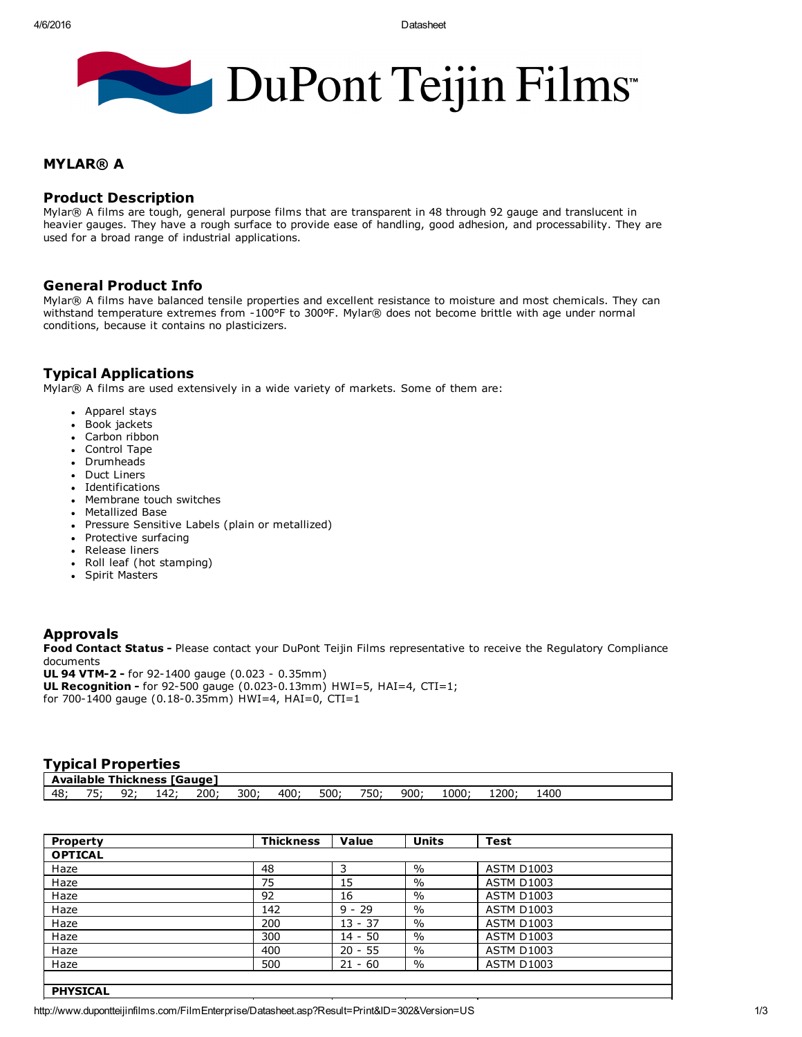# DuPont Teijin Films

#### MYLAR® A

### Product Description

Mylar® A films are tough, general purpose films that are transparent in 48 through 92 gauge and translucent in heavier gauges. They have a rough surface to provide ease of handling, good adhesion, and processability. They are used for a broad range of industrial applications.

### General Product Info

Mylar® A films have balanced tensile properties and excellent resistance to moisture and most chemicals. They can withstand temperature extremes from 100°F to 300ºF. Mylar® does not become brittle with age under normal conditions, because it contains no plasticizers.

## Typical Applications

Mylar® A films are used extensively in a wide variety of markets. Some of them are:

- Apparel stays
- Book jackets
- Carbon ribbon
- Control Tape
- Drumheads
- Duct Liners
- Identifications
- Membrane touch switches
- Metallized Base
- Pressure Sensitive Labels (plain or metallized)
- Protective surfacing
- Release liners
- Roll leaf (hot stamping)
- Spirit Masters

### Approvals

Food Contact Status - Please contact your DuPont Teijin Films representative to receive the Regulatory Compliance documents

UL 94 VTM-2 - for 92-1400 gauge (0.023 - 0.35mm)

**UL Recognition -** for 92-500 gauge (0.023-0.13mm) HWI=5, HAI=4, CTI=1; for 700-1400 gauge (0.18-0.35mm) HWI=4, HAI=0, CTI=1

### Typical Properties

| <b>Available Thickness [Gauge]</b> |    |    |        |     |     |     |      |      |     |                |      |     |  |
|------------------------------------|----|----|--------|-----|-----|-----|------|------|-----|----------------|------|-----|--|
| 48                                 | -- | -- | ، 142. | 200 | 300 | 400 | 500; | 750, | 900 | $1000^{\circ}$ | 1200 | 40C |  |

| Property        | <b>Thickness</b> | Value     | <b>Units</b>  | <b>Test</b>       |  |  |  |
|-----------------|------------------|-----------|---------------|-------------------|--|--|--|
| <b>OPTICAL</b>  |                  |           |               |                   |  |  |  |
| Haze            | 48               | 3         | $\frac{0}{0}$ | <b>ASTM D1003</b> |  |  |  |
| Haze            | 75               | 15        | $\frac{0}{0}$ | <b>ASTM D1003</b> |  |  |  |
| Haze            | 92               | 16        | $\frac{0}{0}$ | <b>ASTM D1003</b> |  |  |  |
| Haze            | 142              | $9 - 29$  | $\frac{0}{0}$ | <b>ASTM D1003</b> |  |  |  |
| Haze            | 200              | $13 - 37$ | $\frac{0}{0}$ | <b>ASTM D1003</b> |  |  |  |
| Haze            | 300              | $14 - 50$ | $\frac{0}{0}$ | <b>ASTM D1003</b> |  |  |  |
| Haze            | 400              | $20 - 55$ | $\%$          | <b>ASTM D1003</b> |  |  |  |
| Haze            | 500              | $21 - 60$ | $\%$          | <b>ASTM D1003</b> |  |  |  |
|                 |                  |           |               |                   |  |  |  |
| <b>PHYSICAL</b> |                  |           |               |                   |  |  |  |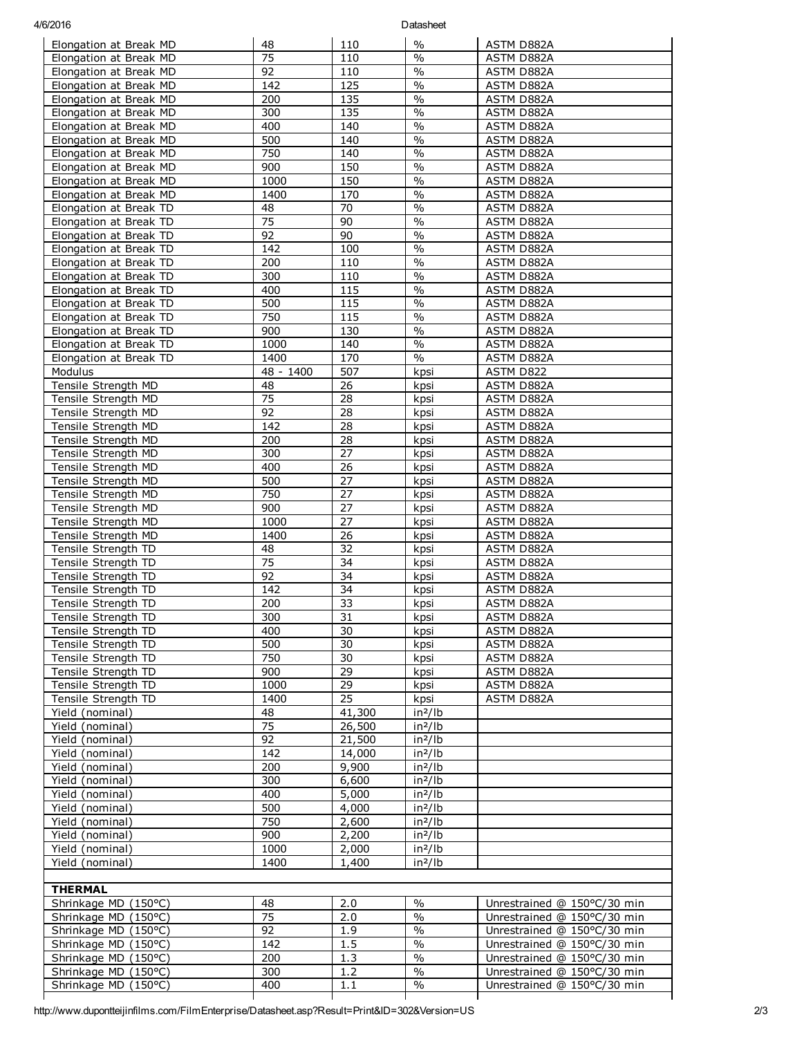#### 4/6/2016 Datasheet

| Elongation at Break MD                           | 48              | 110               | $\%$                     | ASTM D882A                  |  |  |  |
|--------------------------------------------------|-----------------|-------------------|--------------------------|-----------------------------|--|--|--|
| Elongation at Break MD                           | 75              | 110               | $\frac{0}{0}$            | ASTM D882A                  |  |  |  |
| Elongation at Break MD                           | 92              | 110               | $\frac{1}{2}$            | ASTM D882A                  |  |  |  |
| Elongation at Break MD                           | 142             | 125               | $\sqrt{0}$               | ASTM D882A                  |  |  |  |
| Elongation at Break MD                           | 200             | 135               | $\%$                     | ASTM D882A                  |  |  |  |
| Elongation at Break MD                           | 300             | 135               | $\sqrt{0}$               | ASTM D882A                  |  |  |  |
| Elongation at Break MD                           | 400             | 140               | $\frac{0}{0}$            | ASTM D882A                  |  |  |  |
| Elongation at Break MD                           | 500             | 140               | $\%$                     | ASTM D882A                  |  |  |  |
| Elongation at Break MD                           | 750             | 140               | $\%$<br>$\sqrt{0}$       | ASTM D882A                  |  |  |  |
| Elongation at Break MD<br>Elongation at Break MD | 900<br>1000     | 150<br>150        | $\overline{\frac{0}{0}}$ | ASTM D882A<br>ASTM D882A    |  |  |  |
| Elongation at Break MD                           | 1400            | 170               | $\sqrt{0}$               | ASTM D882A                  |  |  |  |
| Elongation at Break TD                           | 48              | 70                | $\overline{\frac{0}{0}}$ | ASTM D882A                  |  |  |  |
| Elongation at Break TD                           | 75              | 90                | $\sqrt{0}$               | ASTM D882A                  |  |  |  |
| Elongation at Break TD                           | 92              | $\overline{90}$   | $\overline{\frac{0}{0}}$ | ASTM D882A                  |  |  |  |
| Elongation at Break TD                           | 142             | 100               | $\%$                     | ASTM D882A                  |  |  |  |
| Elongation at Break TD                           | 200             | 110               | $\overline{\frac{0}{0}}$ | ASTM D882A                  |  |  |  |
| Elongation at Break TD                           | 300             | 110               | $\frac{0}{0}$            | ASTM D882A                  |  |  |  |
| Elongation at Break TD                           | 400             | $\frac{115}{115}$ | $\frac{0}{0}$            | <b>ASTM D882A</b>           |  |  |  |
| Elongation at Break TD                           | 500             | 115               | $\%$                     | ASTM D882A                  |  |  |  |
| Elongation at Break TD                           | 750             | 115               | $\overline{\frac{0}{0}}$ | ASTM D882A                  |  |  |  |
| Elongation at Break TD                           | 900             | 130               | $\frac{0}{0}$            | ASTM D882A                  |  |  |  |
| Elongation at Break TD                           | 1000            | 140               | $\frac{0}{6}$            | ASTM D882A                  |  |  |  |
| Elongation at Break TD                           | 1400            | 170               | $\%$                     | ASTM D882A                  |  |  |  |
| Modulus                                          | 48 - 1400       | 507               | kpsi                     | ASTM D822                   |  |  |  |
| Tensile Strength MD                              | 48              | 26                | kpsi                     | ASTM D882A                  |  |  |  |
| Tensile Strength MD                              | 75              | 28                | kpsi                     | <b>ASTM D882A</b>           |  |  |  |
| Tensile Strength MD                              | 92<br>142       | 28<br>28          | kpsi                     | ASTM D882A                  |  |  |  |
| Tensile Strength MD<br>Tensile Strength MD       | 200             | 28                | kpsi<br>kpsi             | ASTM D882A<br>ASTM D882A    |  |  |  |
| Tensile Strength MD                              | 300             | 27                | kpsi                     | ASTM D882A                  |  |  |  |
| Tensile Strength MD                              | 400             | $\overline{26}$   | kpsi                     | ASTM D882A                  |  |  |  |
| Tensile Strength MD                              | 500             | 27                | kpsi                     | ASTM D882A                  |  |  |  |
| Tensile Strength MD                              | 750             | $\overline{27}$   | kpsi                     | ASTM D882A                  |  |  |  |
| Tensile Strength MD                              | 900             | 27                | kpsi                     | ASTM D882A                  |  |  |  |
| Tensile Strength MD                              | 1000            | 27                | kpsi                     | ASTM D882A                  |  |  |  |
| Tensile Strength MD                              | 1400            | 26                | kpsi                     | ASTM D882A                  |  |  |  |
| Tensile Strength TD                              | 48              | 32                | kpsi                     | ASTM D882A                  |  |  |  |
| Tensile Strength TD                              | 75              | 34                | kpsi                     | ASTM D882A                  |  |  |  |
| Tensile Strength TD                              | 92              | 34                | kpsi                     | ASTM D882A                  |  |  |  |
| Tensile Strength TD                              | 142             | 34                | kpsi                     | ASTM D882A                  |  |  |  |
| Tensile Strength TD                              | 200             | 33                | kpsi                     | ASTM D882A                  |  |  |  |
| Tensile Strength TD                              | 300             | 31                | kpsi                     | ASTM D882A<br>ASTM D882A    |  |  |  |
| Tensile Strength TD<br>Tensile Strength TD       | 400<br>500      | 30<br>30          | kpsi<br>kpsi             | ASTM D882A                  |  |  |  |
| Tensile Strength TD                              | 750             | 30                | kpsi                     | ASTM D882A                  |  |  |  |
| Tensile Strength TD                              | 900             | 29                | kpsi                     | ASTM D882A                  |  |  |  |
| Tensile Strength TD                              | 1000            | $\overline{29}$   | kpsi                     | ASTM D882A                  |  |  |  |
| Tensile Strength TD                              | 1400            | 25                | kpsi                     | ASTM D882A                  |  |  |  |
| Yield (nominal)                                  | 48              | 41,300            | $in^2/lb$                |                             |  |  |  |
| Yield (nominal)                                  | $\overline{75}$ | 26,500            | $in^2/lb$                |                             |  |  |  |
| Yield (nominal)                                  | 92              | 21,500            | $in^2/lb$                |                             |  |  |  |
| Yield (nominal)                                  | 142             | 14,000            | $in^2/lb$                |                             |  |  |  |
| Yield (nominal)                                  | 200             | 9,900             | $in^2/lb$                |                             |  |  |  |
| Yield (nominal)                                  | 300             | 6,600             | $in^2/lb$                |                             |  |  |  |
| Yield (nominal)                                  | 400             | 5,000             | $in^2/lb$                |                             |  |  |  |
| Yield (nominal)                                  | 500             | 4,000             | $in^2/lb$                |                             |  |  |  |
| Yield (nominal)                                  | 750             | 2,600             | $in^2/lb$                |                             |  |  |  |
| Yield (nominal)                                  | 900             | 2,200             | $in^2/lb$                |                             |  |  |  |
| Yield (nominal)                                  | 1000            | 2,000             | $in^2/lb$                |                             |  |  |  |
| Yield (nominal)                                  | 1400            | 1,400             | $in^2/lb$                |                             |  |  |  |
| <b>THERMAL</b>                                   |                 |                   |                          |                             |  |  |  |
| Shrinkage MD (150°C)                             | 48              | 2.0               | $\frac{0}{0}$            | Unrestrained @ 150°C/30 min |  |  |  |
| Shrinkage MD (150°C)                             | 75              | 2.0               | $\frac{0}{0}$            | Unrestrained @ 150°C/30 min |  |  |  |
| Shrinkage MD (150°C)                             | 92              | 1.9               | $\frac{0}{0}$            | Unrestrained @ 150°C/30 min |  |  |  |
| Shrinkage MD (150°C)                             | 142             | 1.5               | $\frac{0}{6}$            | Unrestrained @ 150°C/30 min |  |  |  |
| Shrinkage MD (150°C)                             | 200             | 1.3               | $\frac{0}{0}$            | Unrestrained @ 150°C/30 min |  |  |  |
| Shrinkage MD (150°C)                             | 300             | 1.2               | $\%$                     | Unrestrained @ 150°C/30 min |  |  |  |
| Shrinkage MD (150°C)                             | 400             | 1.1               | $\sqrt{0}$               | Unrestrained @ 150°C/30 min |  |  |  |
|                                                  |                 |                   |                          |                             |  |  |  |